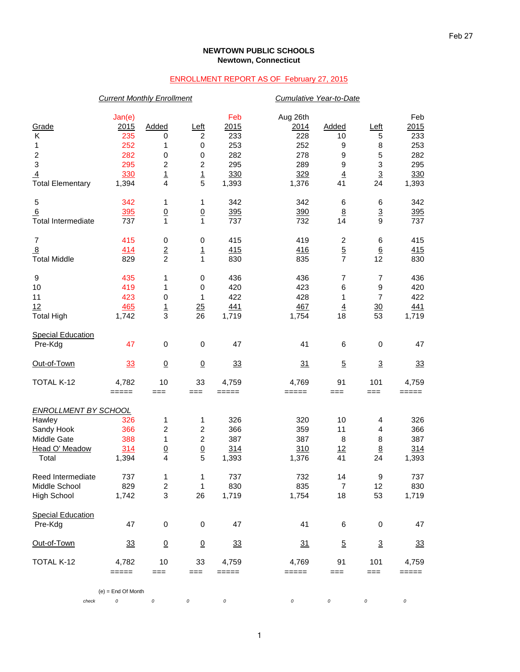## **NEWTOWN PUBLIC SCHOOLS Newtown, Connecticut**

## ENROLLMENT REPORT AS OF February 27, 2015

|                             | <b>Current Monthly Enrollment</b> |                         |                  |                                                           |          | <b>Cumulative Year-to-Date</b> |                 |            |  |
|-----------------------------|-----------------------------------|-------------------------|------------------|-----------------------------------------------------------|----------|--------------------------------|-----------------|------------|--|
|                             | Jan(e)                            |                         |                  | Feb                                                       | Aug 26th |                                |                 | Feb        |  |
| Grade                       | 2015                              | Added                   | <u>Left</u>      | 2015                                                      | 2014     | Added                          | Left            | 2015       |  |
| Κ                           | 235                               | 0                       | $\overline{c}$   | 233                                                       | 228      | 10                             | 5               | 233        |  |
| 1                           | 252                               | 1                       | $\mathbf 0$      | 253                                                       | 252      | 9                              | 8               | 253        |  |
| $\overline{\mathbf{c}}$     | 282                               | 0                       | $\,0\,$          | 282                                                       | 278      | 9                              | 5               | 282        |  |
| 3                           | 295                               | $\mathbf 2$             | $\boldsymbol{2}$ | 295                                                       | 289      | $\boldsymbol{9}$               | 3               | 295        |  |
| $\overline{4}$              | 330                               | $\overline{1}$          | $\overline{1}$   | 330                                                       | 329      | $\overline{4}$                 | $\overline{3}$  | 330        |  |
| <b>Total Elementary</b>     | 1,394                             | $\overline{4}$          | 5                | 1,393                                                     | 1,376    | 41                             | 24              | 1,393      |  |
| 5                           | 342                               | 1                       | 1                | 342                                                       | 342      | 6                              | 6               | 342        |  |
| 6                           | 395                               | $\underline{0}$         | $\underline{0}$  | 395                                                       | 390      | $\underline{8}$                | $\overline{3}$  | <u>395</u> |  |
| <b>Total Intermediate</b>   | 737                               | 1                       | 1                | 737                                                       | 732      | 14                             | 9               | 737        |  |
| $\overline{7}$              | 415                               | 0                       | $\,0\,$          | 415                                                       | 419      | $\overline{c}$                 | 6               | 415        |  |
| $\overline{8}$              | 414                               | $\overline{\mathbf{2}}$ | <u>1</u>         | 415                                                       | 416      | $\overline{5}$                 | $6\phantom{.}6$ | 415        |  |
| <b>Total Middle</b>         | 829                               | $\overline{2}$          | $\mathbf{1}$     | 830                                                       | 835      | $\overline{7}$                 | 12              | 830        |  |
| 9                           | 435                               | 1                       | $\,0\,$          | 436                                                       | 436      | $\overline{7}$                 | $\overline{7}$  | 436        |  |
| 10                          | 419                               | 1                       | 0                | 420                                                       | 423      | $\,6$                          | 9               | 420        |  |
| 11                          | 423                               | 0                       | 1                | 422                                                       | 428      | 1                              | 7               | 422        |  |
| 12                          | 465                               | $\overline{1}$          | 25               | 441                                                       | 467      | $\overline{4}$                 | $\frac{30}{2}$  | 441        |  |
| <b>Total High</b>           | 1,742                             | 3                       | 26               | 1,719                                                     | 1,754    | 18                             | 53              | 1,719      |  |
| <b>Special Education</b>    |                                   |                         |                  |                                                           |          |                                |                 |            |  |
| Pre-Kdg                     | 47                                | $\mathbf 0$             | $\mathbf 0$      | 47                                                        | 41       | 6                              | 0               | 47         |  |
| Out-of-Town                 | 33                                | $\Omega$                | $\underline{0}$  | 33                                                        | 31       | $\overline{5}$                 | $\overline{3}$  | 33         |  |
| TOTAL K-12                  | 4,782                             | 10                      | 33               | 4,759                                                     | 4,769    | 91                             | 101             | 4,759      |  |
|                             | =====                             | $==$                    | ===              | $=====$                                                   | =====    | $==$                           | $==$            | =====      |  |
| <b>ENROLLMENT BY SCHOOL</b> |                                   |                         |                  |                                                           |          |                                |                 |            |  |
| Hawley                      | 326                               | 1                       | 1                | 326                                                       | 320      | 10                             | 4               | 326        |  |
| Sandy Hook                  | 366                               | $\overline{c}$          | $\overline{c}$   | 366                                                       | 359      | 11                             | 4               | 366        |  |
| Middle Gate                 | 388                               | 1                       | 2                | 387                                                       | 387      | 8                              | 8               | 387        |  |
| Head O' Meadow              | 314                               | $\overline{0}$          | $\underline{0}$  | 314                                                       | 310      | 12                             | 8               | 314        |  |
| Total                       | 1,394                             | 4                       | 5                | 1,393                                                     | 1,376    | 41                             | 24              | 1,393      |  |
| Reed Intermediate           | 737                               | 1                       | 1                | 737                                                       | 732      | 14                             | 9               | 737        |  |
| Middle School               | 829                               | $\boldsymbol{2}$        | 1                | 830                                                       | 835      | $\overline{7}$                 | 12              | 830        |  |
| High School                 | 1,742                             | 3                       | 26               | 1,719                                                     | 1,754    | 18                             | 53              | 1,719      |  |
| <b>Special Education</b>    |                                   |                         |                  |                                                           |          |                                |                 |            |  |
| Pre-Kdg                     | 47                                | $\pmb{0}$               | 0                | 47                                                        | 41       | $\,6$                          | 0               | 47         |  |
| Out-of-Town                 | 33                                | $\overline{0}$          | $\underline{0}$  | <u>33</u>                                                 | 31       | $\overline{5}$                 | $\overline{3}$  | <u>33</u>  |  |
| TOTAL K-12                  | 4,782                             | 10                      | 33               | 4,759                                                     | 4,769    | 91                             | 101             | 4,759      |  |
|                             | $=====$                           | $==$                    | ===              | $\qquad \qquad \equiv \equiv \equiv \equiv \equiv \equiv$ | =====    | ===                            | ===             | =====      |  |
|                             | $(e)$ = End Of Month              |                         |                  |                                                           |          |                                |                 |            |  |
| check                       | 0                                 | 0                       | 0                | $\cal O$                                                  | 0        | $\cal O$                       | 0               | 0          |  |